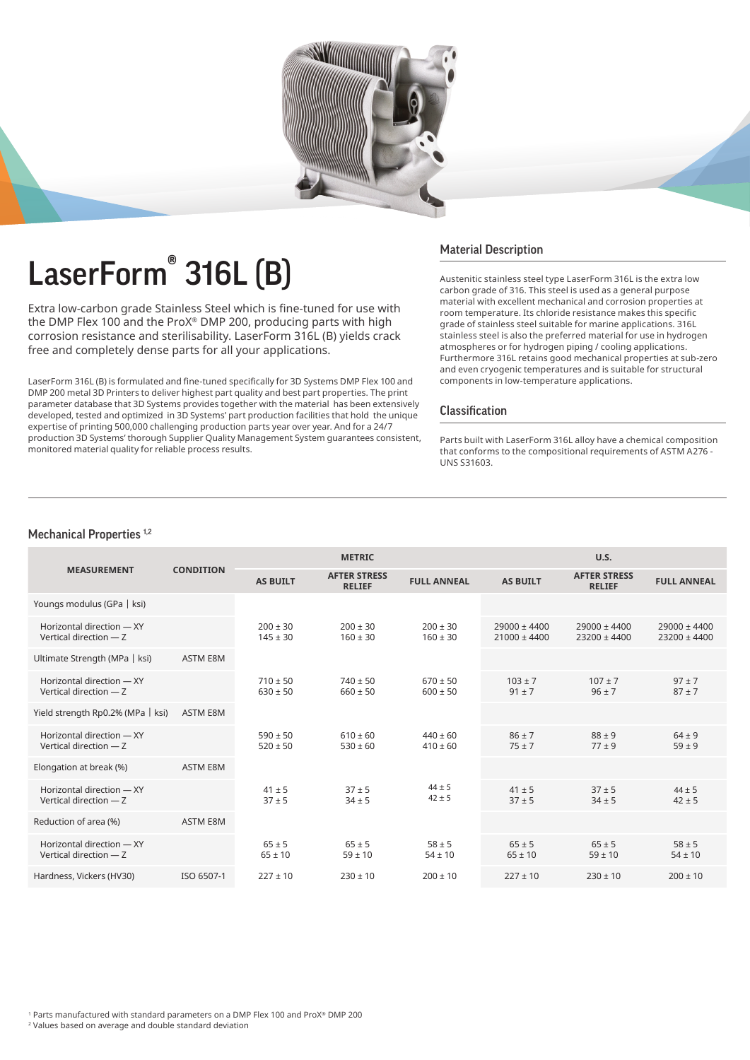

# LaserForm® 316L (B)

Extra low-carbon grade Stainless Steel which is fine-tuned for use with the DMP Flex 100 and the ProX® DMP 200, producing parts with high corrosion resistance and sterilisability. LaserForm 316L (B) yields crack free and completely dense parts for all your applications.

LaserForm 316L (B) is formulated and fine-tuned specifically for 3D Systems DMP Flex 100 and DMP 200 metal 3D Printers to deliver highest part quality and best part properties. The print parameter database that 3D Systems provides together with the material has been extensively developed, tested and optimized in 3D Systems' part production facilities that hold the unique expertise of printing 500,000 challenging production parts year over year. And for a 24/7 production 3D Systems' thorough Supplier Quality Management System guarantees consistent, monitored material quality for reliable process results.

## Material Description

Austenitic stainless steel type LaserForm 316L is the extra low carbon grade of 316. This steel is used as a general purpose material with excellent mechanical and corrosion properties at room temperature. Its chloride resistance makes this specific grade of stainless steel suitable for marine applications. 316L stainless steel is also the preferred material for use in hydrogen atmospheres or for hydrogen piping / cooling applications. Furthermore 316L retains good mechanical properties at sub-zero and even cryogenic temperatures and is suitable for structural components in low-temperature applications.

## Classification

Parts built with LaserForm 316L alloy have a chemical composition that conforms to the compositional requirements of ASTM A276 - UNS S31603.

## Mechanical Properties<sup>1,2</sup>

|                                                      | <b>CONDITION</b> | <b>METRIC</b>                |                                      |                              | U.S.                                 |                                      |                                      |
|------------------------------------------------------|------------------|------------------------------|--------------------------------------|------------------------------|--------------------------------------|--------------------------------------|--------------------------------------|
| <b>MEASUREMENT</b>                                   |                  | <b>AS BUILT</b>              | <b>AFTER STRESS</b><br><b>RELIEF</b> | <b>FULL ANNEAL</b>           | <b>AS BUILT</b>                      | <b>AFTER STRESS</b><br><b>RELIEF</b> | <b>FULL ANNEAL</b>                   |
| Youngs modulus (GPa   ksi)                           |                  |                              |                                      |                              |                                      |                                      |                                      |
| Horizontal direction - XY<br>Vertical direction - Z  |                  | $200 \pm 30$<br>$145 \pm 30$ | $200 \pm 30$<br>$160 \pm 30$         | $200 \pm 30$<br>$160 \pm 30$ | $29000 \pm 4400$<br>$21000 \pm 4400$ | $29000 \pm 4400$<br>23200 ± 4400     | $29000 \pm 4400$<br>$23200 \pm 4400$ |
| Ultimate Strength (MPa   ksi)                        | <b>ASTM E8M</b>  |                              |                                      |                              |                                      |                                      |                                      |
| Horizontal direction - XY<br>Vertical direction $-7$ |                  | $710 \pm 50$<br>$630 \pm 50$ | $740 \pm 50$<br>$660 \pm 50$         | $670 \pm 50$<br>$600 \pm 50$ | $103 \pm 7$<br>$91 \pm 7$            | $107 \pm 7$<br>$96 \pm 7$            | $97 \pm 7$<br>$87 \pm 7$             |
| Yield strength Rp0.2% (MPa   ksi)                    | <b>ASTM E8M</b>  |                              |                                      |                              |                                      |                                      |                                      |
| Horizontal direction - XY<br>Vertical direction - Z  |                  | $590 \pm 50$<br>$520 \pm 50$ | $610 \pm 60$<br>$530 \pm 60$         | $440 \pm 60$<br>$410 \pm 60$ | $86 \pm 7$<br>$75 + 7$               | $88 \pm 9$<br>$77 + 9$               | $64 \pm 9$<br>$59 \pm 9$             |
| Elongation at break (%)                              | <b>ASTM E8M</b>  |                              |                                      |                              |                                      |                                      |                                      |
| Horizontal direction - XY<br>Vertical direction $-7$ |                  | $41 \pm 5$<br>$37 + 5$       | $37 + 5$<br>$34 \pm 5$               | $44 \pm 5$<br>$42 \pm 5$     | $41 \pm 5$<br>$37 + 5$               | $37 + 5$<br>$34 \pm 5$               | $44 \pm 5$<br>$42 \pm 5$             |
| Reduction of area (%)                                | <b>ASTM E8M</b>  |                              |                                      |                              |                                      |                                      |                                      |
| Horizontal direction - XY<br>Vertical direction - Z  |                  | $65 \pm 5$<br>$65 \pm 10$    | $65 \pm 5$<br>$59 \pm 10$            | $58 \pm 5$<br>$54 \pm 10$    | $65 \pm 5$<br>$65 \pm 10$            | $65 \pm 5$<br>$59 \pm 10$            | $58 \pm 5$<br>$54 \pm 10$            |
| Hardness, Vickers (HV30)                             | ISO 6507-1       | $227 \pm 10$                 | $230 \pm 10$                         | $200 \pm 10$                 | $227 \pm 10$                         | $230 \pm 10$                         | $200 \pm 10$                         |